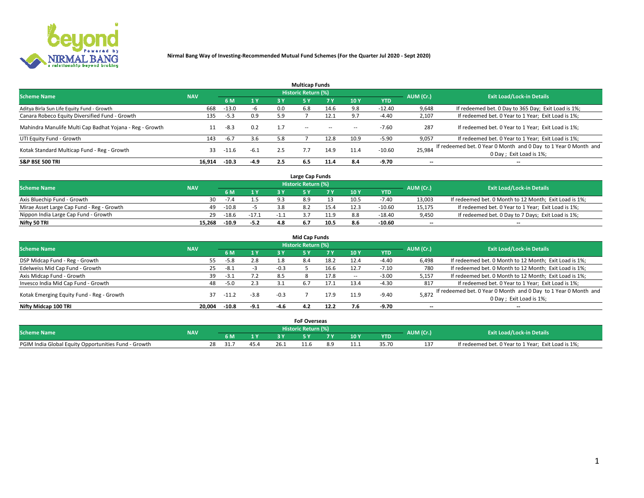

|                                                          |            |         |        |     | <b>Multicap Funds</b> |           |      |            |                          |                                                                                             |
|----------------------------------------------------------|------------|---------|--------|-----|-----------------------|-----------|------|------------|--------------------------|---------------------------------------------------------------------------------------------|
| <b>Scheme Name</b>                                       | <b>NAV</b> |         |        |     | Historic Return (%)   |           |      |            | AUM (Cr.)                | <b>Exit Load/Lock-in Details</b>                                                            |
|                                                          |            | 6 M     | 1 Y    | 3 Y |                       | <b>7Y</b> | 10Y  | <b>YTD</b> |                          |                                                                                             |
| Aditya Birla Sun Life Equity Fund - Growth               | 668        | $-13.0$ | -b     | 0.0 | 6.8                   | 14.6      | 9.8  | $-12.40$   | 9,648                    | If redeemed bet. 0 Day to 365 Day; Exit Load is 1%;                                         |
| Canara Robeco Equity Diversified Fund - Growth           | 135        | $-5.3$  | 0.9    | 5.9 |                       | 12.1      | 9.7  | $-4.40$    | 2,107                    | If redeemed bet. 0 Year to 1 Year; Exit Load is 1%;                                         |
| Mahindra Manulife Multi Cap Badhat Yojana - Reg - Growth |            | -8.3    | 0.2    | 1.7 | $\sim$ $-$            | $-$       | --   | $-7.60$    | 287                      | If redeemed bet. 0 Year to 1 Year; Exit Load is 1%;                                         |
| UTI Equity Fund - Growth                                 | 143        | $-6.7$  | 3.6    | 5.8 |                       | 12.8      | 10.9 | $-5.90$    | 9,057                    | If redeemed bet. 0 Year to 1 Year; Exit Load is 1%;                                         |
| Kotak Standard Multicap Fund - Reg - Growth              | 33         | -11.6   | $-6.1$ | 2.5 |                       | 14.9      | 11.4 | $-10.60$   | 25,984                   | If redeemed bet. 0 Year 0 Month and 0 Day to 1 Year 0 Month and<br>0 Day ; Exit Load is 1%; |
| <b>S&amp;P BSE 500 TRI</b>                               | 16.914     | $-10.3$ | $-4.9$ | 2.5 | 6.5                   | 11.4      | 8.4  | -9.70      | $\overline{\phantom{a}}$ | $- -$                                                                                       |

|                                           |            |         |         |     | Large Cap Funds     |      |      |            |                          |                                                        |
|-------------------------------------------|------------|---------|---------|-----|---------------------|------|------|------------|--------------------------|--------------------------------------------------------|
| <b>Scheme Name</b>                        | <b>NAV</b> |         |         |     | Historic Return (%) |      |      |            | AUM (Cr.)                | <b>Exit Load/Lock-in Details</b>                       |
|                                           |            |         | 1 Y     |     |                     |      | 10 Y | <b>YTD</b> |                          |                                                        |
| Axis Bluechip Fund - Growth               | 30         | $-1.4$  | 1 E     | ാ   |                     |      | 10.5 | $-7.40$    | 13,003                   | If redeemed bet. 0 Month to 12 Month; Exit Load is 1%; |
| Mirae Asset Large Cap Fund - Reg - Growth | 49         | $-10.8$ |         |     |                     |      |      | $-10.60$   | 15,175                   | If redeemed bet. 0 Year to 1 Year; Exit Load is 1%;    |
| Nippon India Large Cap Fund - Growth      | 29         | $-18.6$ | $-17.1$ |     |                     |      |      | $-18.40$   | 9,450                    | If redeemed bet. 0 Day to 7 Days; Exit Load is 1%;     |
| Nifty 50 TRI                              | 15.268     | -10.9   | $-5.2$  | 4 R |                     | 10.5 |      | $-10.60$   | $\overline{\phantom{a}}$ | $- -$                                                  |

|                                           |            |         |                |        | <b>Mid Cap Funds</b> |      |        |            |                          |                                                                 |
|-------------------------------------------|------------|---------|----------------|--------|----------------------|------|--------|------------|--------------------------|-----------------------------------------------------------------|
| <b>Scheme Name</b>                        | <b>NAV</b> |         |                |        | Historic Return (%)  |      |        |            | AUM (Cr.)                | <b>Exit Load/Lock-in Details</b>                                |
|                                           |            | 6 M     | 1 <sup>Y</sup> | 3 Y    | 5۱                   |      | 10Y    | <b>YTD</b> |                          |                                                                 |
| DSP Midcap Fund - Reg - Growth            | 55         | $-5.8$  | 2.8            | 1.8    | 8.4                  | 18.2 | 12.4   | $-4.40$    | 6,498                    | If redeemed bet. 0 Month to 12 Month; Exit Load is 1%;          |
| Edelweiss Mid Cap Fund - Growth           | 25         | $-8.1$  | -5             | $-0.3$ |                      | 16.6 | 12.7   | $-7.10$    | 780                      | If redeemed bet. 0 Month to 12 Month; Exit Load is 1%;          |
| Axis Midcap Fund - Growth                 | 39         | $-3.1$  | 7.2            | 8.5    |                      | 17.8 | $\sim$ | $-3.00$    | 5,157                    | If redeemed bet. 0 Month to 12 Month; Exit Load is 1%;          |
| Invesco India Mid Cap Fund - Growth       | 48         | -5.0    | 2.3            | 3.1    | 6.7                  | 17.1 | 13.4   | $-4.30$    | 817                      | If redeemed bet. 0 Year to 1 Year; Exit Load is 1%;             |
| Kotak Emerging Equity Fund - Reg - Growth | 37         | -11.2   | $-3.8$         | $-0.3$ |                      | 17.9 | 11.9   | $-9.40$    | 5,872                    | If redeemed bet. 0 Year 0 Month and 0 Day to 1 Year 0 Month and |
|                                           |            |         |                |        |                      |      |        |            |                          | 0 Day; Exit Load is 1%;                                         |
| Nifty Midcap 100 TRI                      | 20.004     | $-10.8$ | $-9.1$         | -4.6   | 4.2                  | 12.2 | 7.6    | $-9.70$    | $\overline{\phantom{a}}$ | $- -$                                                           |

|                                                      |            |            |              |      | <b>FoF Overseas</b>   |    |      |            |           |                                                     |
|------------------------------------------------------|------------|------------|--------------|------|-----------------------|----|------|------------|-----------|-----------------------------------------------------|
| <b>Scheme Name</b>                                   | <b>NAV</b> |            |              |      | Historic Return (%) ' |    |      |            | AUM (Cr.) | <b>Exit Load/Lock-in Details</b>                    |
|                                                      |            |            | $\mathbf{v}$ |      |                       | -  | 10 Y | <b>YTD</b> |           |                                                     |
| PGIM India Global Equity Opportunities Fund - Growth |            | 28<br>31.7 | 45.4         | 26.1 |                       | 29 | 11.1 | 35./L      | 13.<br>ᅩ  | If redeemed bet. 0 Year to 1 Year; Exit Load is 1%; |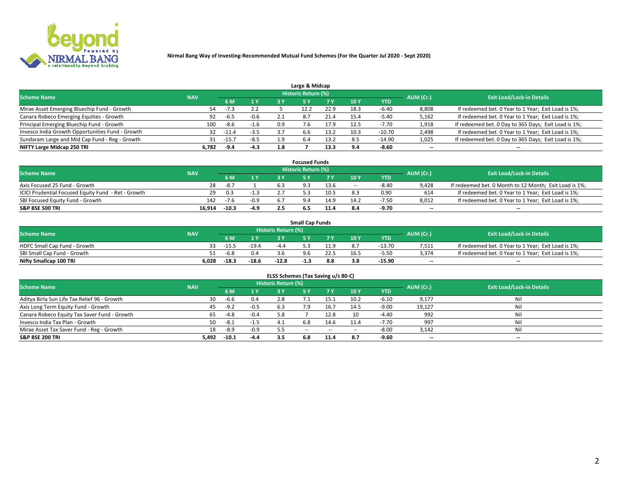

| Large & Midcap                                   |            |         |        |     |                     |      |            |            |                          |                                                      |  |  |  |  |
|--------------------------------------------------|------------|---------|--------|-----|---------------------|------|------------|------------|--------------------------|------------------------------------------------------|--|--|--|--|
| <b>Scheme Name</b>                               | <b>NAV</b> |         |        |     | Historic Return (%) |      |            |            | AUM (Cr.)                | <b>Exit Load/Lock-in Details</b>                     |  |  |  |  |
|                                                  |            | 6 M     | 1 Y    |     |                     | 7 V  | 10Y        | <b>YTD</b> |                          |                                                      |  |  |  |  |
| Mirae Asset Emerging Bluechip Fund - Growth      | 54         | $-1.5$  | 2.2    |     |                     | 22.9 | 18.3       | -6.40      | 8,808                    | If redeemed bet. 0 Year to 1 Year; Exit Load is 1%;  |  |  |  |  |
| Canara Robeco Emerging Equities - Growth         | 92         | -6.5    | $-0.6$ |     | 8.7                 | 21.4 | 15.4       | -5.40      | 5,162                    | If redeemed bet. 0 Year to 1 Year; Exit Load is 1%;  |  |  |  |  |
| Principal Emerging Bluechip Fund - Growth        | 100        | -8.6    | $-1.6$ | 0.9 |                     | 17.9 | 12.5       | $-7.70$    | 1,918                    | If redeemed bet. 0 Day to 365 Days; Exit Load is 1%; |  |  |  |  |
| Invesco India Growth Opportunities Fund - Growth | 32         | $-11.4$ | $-3.5$ | 37  | 6.6                 | 13.2 | 10.3       | $-10.70$   | 2,498                    | If redeemed bet. 0 Year to 1 Year; Exit Load is 1%;  |  |  |  |  |
| Sundaram Large and Mid Cap Fund - Reg - Growth   | 31         | $-15.7$ | $-8.5$ | 1.9 | 6.4                 | 13.2 |            | $-14.90$   | 1,025                    | If redeemed bet. 0 Day to 365 Days; Exit Load is 1%; |  |  |  |  |
| NIFTY Large Midcap 250 TRI                       | 6.782      | -9.4    | $-4.3$ | 1.8 |                     | 13.3 | <b>Q</b> ^ | $-8.60$    | $\overline{\phantom{a}}$ | $- -$                                                |  |  |  |  |

|                                                     |            |        |        | <b>Focused Funds</b>       |      |        |            |                          |                                                        |
|-----------------------------------------------------|------------|--------|--------|----------------------------|------|--------|------------|--------------------------|--------------------------------------------------------|
| <b>Scheme Name</b>                                  | <b>NAV</b> |        |        | <b>Historic Return (%)</b> |      |        |            | AUM (Cr.)                | <b>Exit Load/Lock-in Details</b>                       |
|                                                     |            | 6 M    | 4 V    |                            |      | 10 Y   | <b>YTD</b> |                          |                                                        |
| Axis Focused 25 Fund - Growth                       | 28         | $-8.7$ |        |                            | 13.6 | $\sim$ | $-8.40$    | 9,428                    | If redeemed bet. 0 Month to 12 Month; Exit Load is 1%; |
| ICICI Prudential Focused Equity Fund - Ret - Growth | 29         | 0.3    | -1.3   |                            | 10.5 |        | 0.90       | 614                      | If redeemed bet. 0 Year to 1 Year; Exit Load is 1%;    |
| SBI Focused Equity Fund - Growth                    | 142        | $-7.6$ | $-0.9$ |                            | 14.9 | 14.2   | $-7.50$    | 8,012                    | If redeemed bet. 0 Year to 1 Year; Exit Load is 1%;    |
| S&P BSE 500 TRI                                     | 16.914     | -10.3  | $-4.9$ |                            |      |        | -9.70      | $\overline{\phantom{a}}$ | $- -$                                                  |

| <b>Small Cap Funds</b>       |            |         |         |                     |      |      |                 |            |           |                                                     |  |  |  |
|------------------------------|------------|---------|---------|---------------------|------|------|-----------------|------------|-----------|-----------------------------------------------------|--|--|--|
| <b>Scheme Name</b>           | <b>NAV</b> |         |         | Historic Return (%) |      |      |                 |            | AUM (Cr.) | <b>Exit Load/Lock-in Details</b>                    |  |  |  |
|                              |            | 6 M     | 1 Y     |                     |      |      | 10 <sub>Y</sub> | <b>YTD</b> |           |                                                     |  |  |  |
| HDFC Small Cap Fund - Growth |            | $-15.5$ | $-19.4$ | $-4/$               |      | 11 Q |                 | $-13.70$   | 7,511     | If redeemed bet. 0 Year to 1 Year; Exit Load is 1%; |  |  |  |
| SBI Small Cap Fund - Growth  | 51.        | -6.8    |         |                     | 9.6  |      |                 | $-5.50$    | 3.374     | If redeemed bet. 0 Year to 1 Year; Exit Load is 1%; |  |  |  |
| Nifty Smallcap 100 TRI       | 6.028      | $-18.3$ | $-18.6$ | $-12.8$             | -1.5 | 8.8  |                 | -15.90     | $-$       | $- -$                                               |  |  |  |

| ELSS Schemes (Tax Saving u/s 80-C)           |            |         |        |                            |           |        |                          |            |                          |                                  |  |  |  |
|----------------------------------------------|------------|---------|--------|----------------------------|-----------|--------|--------------------------|------------|--------------------------|----------------------------------|--|--|--|
| <b>Scheme Name</b>                           | <b>NAV</b> |         |        | <b>Historic Return (%)</b> |           |        |                          |            | AUM (Cr.)                | <b>Exit Load/Lock-in Details</b> |  |  |  |
|                                              |            | - 6 M   | 1Y     | 3 Y                        | <b>5Y</b> | 7 Y    | 10 Y                     | <b>YTD</b> |                          |                                  |  |  |  |
| Aditya Birla Sun Life Tax Relief 96 - Growth | 30         | $-6.6$  | 0.4    |                            |           | 15.1   | 10.2                     | $-6.10$    | 9,177                    | Nil                              |  |  |  |
| Axis Long Term Equity Fund - Growth          | 45         | $-9.2$  | $-0.5$ | 6.3                        | 7.9       | 16.7   | 14.5                     | $-9.00$    | 19,127                   | Nil                              |  |  |  |
| Canara Robeco Equity Tax Saver Fund - Growth | 65         | $-4.8$  | $-0.4$ | 5.8                        |           | 12.8   | 10                       | $-4.40$    | 992                      | Nil                              |  |  |  |
| Invesco India Tax Plan - Growth              | 50         | $-8.1$  | $-1.5$ | -4.1                       | 6.8       | 14.6   | 11.4                     | $-7.70$    | 997                      | Nil                              |  |  |  |
| Mirae Asset Tax Saver Fund - Reg - Growth    | 18         | $-8.9$  | $-0.9$ |                            | $- -$     | $\sim$ | $\overline{\phantom{a}}$ | $-8.00$    | 3,142                    | Nil                              |  |  |  |
| S&P BSE 200 TRI                              | 5,492      | $-10.1$ | $-4.4$ | 3.5                        | 6.8       | 11.4   | 8.7                      | $-9.60$    | $\overline{\phantom{a}}$ | $- -$                            |  |  |  |

# 2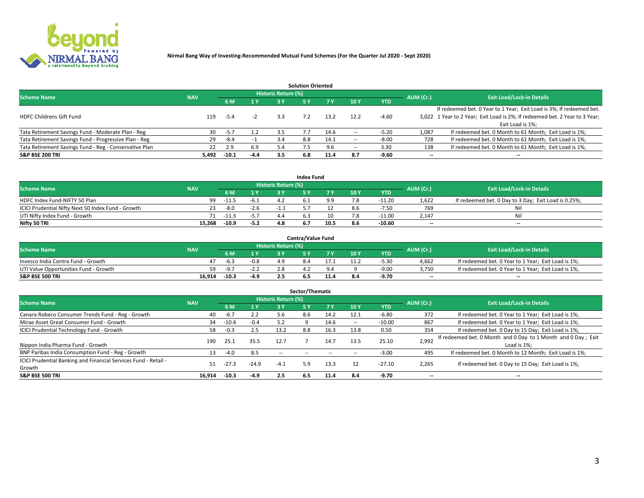

|                                                        |            |            |        |                            | <b>Solution Oriented</b> |      |                          |            |                          |                                                                             |
|--------------------------------------------------------|------------|------------|--------|----------------------------|--------------------------|------|--------------------------|------------|--------------------------|-----------------------------------------------------------------------------|
| <b>Scheme Name</b>                                     | <b>NAV</b> |            |        | <b>Historic Return (%)</b> |                          |      |                          |            | AUM (Cr.)                | <b>Exit Load/Lock-in Details</b>                                            |
|                                                        |            | <b>6 M</b> | 1 Y    | 73 V                       |                          |      | 10Y                      | <b>YTD</b> |                          |                                                                             |
|                                                        |            |            |        |                            |                          |      |                          |            |                          | If redeemed bet. 0 Year to 1 Year; Exit Load is 3%; If redeemed bet.        |
| <b>HDFC Childrens Gift Fund</b>                        | 119        | -5.4       | -2     | 3.3                        |                          | 13.2 | 12.2                     | $-4.60$    |                          | 3,022 1 Year to 2 Year; Exit Load is 2%; If redeemed bet. 2 Year to 3 Year; |
|                                                        |            |            |        |                            |                          |      |                          |            |                          | Exit Load is 1%:                                                            |
| Tata Retirement Savings Fund - Moderate Plan - Reg     | 30         | $-5.7$     | 1.2    | 3.5                        |                          | 14.6 |                          | $-5.20$    | 1,087                    | If redeemed bet. 0 Month to 61 Month; Exit Load is 1%;                      |
| Tata Retirement Savings Fund - Progressive Plan - Reg  | 29         | -8.4       | -1     | 3.4                        | 8.8                      | 14.1 | $\overline{\phantom{a}}$ | $-8.00$    | 728                      | If redeemed bet. 0 Month to 61 Month; Exit Load is 1%;                      |
| Tata Retirement Savings Fund - Reg - Conservative Plan | 22         | 2.9        | 6.9    | 5.4                        |                          | 9.6  | -                        | 3.30       | 138                      | If redeemed bet. 0 Month to 61 Month; Exit Load is 1%;                      |
| S&P BSE 200 TRI                                        | 5,492      | $-10.1$    | $-4.4$ | 3.5                        | 6.8                      | 11.4 | 8.7                      | $-9.60$    | $\overline{\phantom{a}}$ | $- -$                                                                       |

|                                                    |            |          |              |                            | <b>Index Fund</b> |      |      |            |                          |                                                      |
|----------------------------------------------------|------------|----------|--------------|----------------------------|-------------------|------|------|------------|--------------------------|------------------------------------------------------|
| <b>Scheme Name</b>                                 | <b>NAV</b> |          |              | <b>Historic Return (%)</b> |                   |      |      |            | AUM (Cr.)                | <b>Exit Load/Lock-in Details</b>                     |
|                                                    |            |          | $\sqrt{1}$ V | 2 V                        |                   | 7 V  | 10 Y | <b>YTD</b> |                          |                                                      |
| HDFC Index Fund-NIFTY 50 Plan                      | 99         | $-11.5$  | -6.1         |                            |                   |      |      | $-11.20$   | 1,622                    | If redeemed bet. 0 Day to 3 Day; Exit Load is 0.25%; |
| ICICI Prudential Nifty Next 50 Index Fund - Growth |            | -8.0     | $-2.6$       |                            |                   |      | xь   | -7.50      | 769                      | Nil                                                  |
| UTI Nifty Index Fund - Growth                      |            | 71 -11.3 | $-5.7$       |                            |                   |      |      | $-11.00$   | 2.147                    | Nil                                                  |
| Nifty 50 TRI                                       | 15.268     | $-10.9$  | $-5.2$       | 4.8                        | 6.7               | 10.5 | 8.6  | $-10.60$   | $\overline{\phantom{a}}$ | $- -$                                                |

|                                       |            |         |                                           |                            | <b>Contra/Value Fund</b> |     |     |            |                          |                                                     |
|---------------------------------------|------------|---------|-------------------------------------------|----------------------------|--------------------------|-----|-----|------------|--------------------------|-----------------------------------------------------|
| <b>Scheme Name</b>                    | <b>NAV</b> |         |                                           | <b>Historic Return (%)</b> |                          |     |     |            | AUM (Cr.)                | <b>Exit Load/Lock-in Details</b>                    |
|                                       |            |         | $\blacktriangleleft$ $\blacktriangledown$ |                            |                          | 7 V | 10Y | <b>YTD</b> |                          |                                                     |
| Invesco India Contra Fund - Growth    |            | -6.3    | $-0.8$                                    |                            |                          |     |     | -5.30      | 4,662                    | If redeemed bet. 0 Year to 1 Year; Exit Load is 1%; |
| UTI Value Opportunities Fund - Growth | 59         | $-9.7$  | -2.Z                                      |                            |                          |     |     | -9.00      | 3,750                    | If redeemed bet. 0 Year to 1 Year; Exit Load is 1%; |
| <b>S&amp;P BSE 500 TRI</b>            | 16.914     | $-10.3$ | -4.9                                      |                            |                          |     |     | -9.70      | $\overline{\phantom{a}}$ | $- -$                                               |

| Sector/Thematic                                                           |            |         |         |                            |            |           |      |            |                          |                                                                              |  |  |  |
|---------------------------------------------------------------------------|------------|---------|---------|----------------------------|------------|-----------|------|------------|--------------------------|------------------------------------------------------------------------------|--|--|--|
| <b>Scheme Name</b>                                                        | <b>NAV</b> |         |         | <b>Historic Return (%)</b> |            |           |      |            | AUM (Cr.)                | <b>Exit Load/Lock-in Details</b>                                             |  |  |  |
|                                                                           |            | 6 M     | 1 Y     | 3 Y                        | 5 Y        | <b>7Y</b> | 10Y  | <b>YTD</b> |                          |                                                                              |  |  |  |
| Canara Robeco Consumer Trends Fund - Reg - Growth                         | 40         | $-6.7$  | 2.2     | 5.6                        | 8.6        | 14.2      | 12.1 | $-6.80$    | 372                      | If redeemed bet. 0 Year to 1 Year; Exit Load is 1%;                          |  |  |  |
| Mirae Asset Great Consumer Fund - Growth                                  | 34         | $-10.4$ | $-0.4$  |                            |            | 14.6      | -    | $-10.00$   | 867                      | If redeemed bet. 0 Year to 1 Year; Exit Load is 1%;                          |  |  |  |
| <b>ICICI Prudential Technology Fund - Growth</b>                          | 58         | $-0.3$  | 2.5     | 13.2                       | 8.8        | 16.3      | 13.8 | 0.50       | 354                      | If redeemed bet. 0 Day to 15 Day; Exit Load is 1%;                           |  |  |  |
| Nippon India Pharma Fund - Growth                                         | 190        | 25.1    | 35.5    | 12.7                       |            | 14.7      | 13.5 | 25.10      | 2,992                    | If redeemed bet. 0 Month and 0 Day to 1 Month and 0 Day; Exit<br>Load is 1%: |  |  |  |
| BNP Paribas India Consumption Fund - Reg - Growth                         | 13         | $-4.0$  | 8.5     | $\sim$ $-$                 | $\sim$ $-$ |           |      | $-3.00$    | 495                      | If redeemed bet. 0 Month to 12 Month; Exit Load is 1%;                       |  |  |  |
| ICICI Prudential Banking and Financial Services Fund - Retail -<br>Growth | 51         | -27.3   | $-24.9$ | $-4.1$                     | 5.9        | 13.3      |      | $-27.10$   | 2,265                    | If redeemed bet. 0 Day to 15 Day; Exit Load is 1%;                           |  |  |  |
| <b>S&amp;P BSE 500 TRI</b>                                                | 16.914     | $-10.3$ | $-4.9$  | 2.5                        | 6.5        | 11.4      | 8.4  | $-9.70$    | $\overline{\phantom{a}}$ | $- -$                                                                        |  |  |  |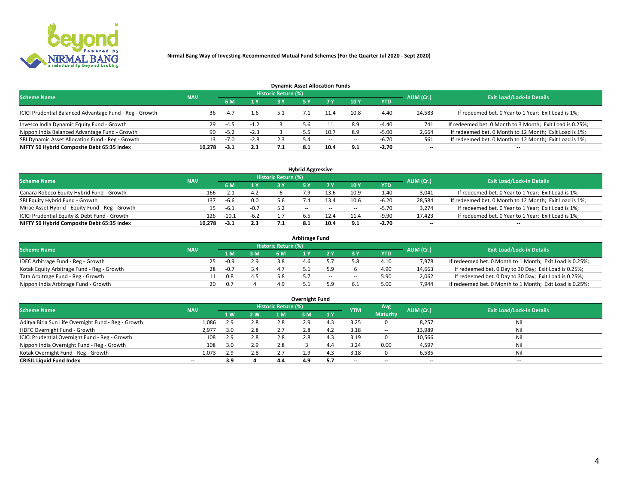

| <b>Dynamic Asset Allocation Funds</b>                   |            |        |                |                            |            |       |                          |            |                          |                                                          |  |  |  |  |
|---------------------------------------------------------|------------|--------|----------------|----------------------------|------------|-------|--------------------------|------------|--------------------------|----------------------------------------------------------|--|--|--|--|
| <b>Scheme Name</b>                                      | <b>NAV</b> |        |                | <b>Historic Return (%)</b> |            |       |                          |            | AUM (Cr.)                | <b>Exit Load/Lock-in Details</b>                         |  |  |  |  |
|                                                         |            | 6 M    | 1 <sub>Y</sub> |                            | <b>5 Y</b> |       | 10Y                      | <b>YTD</b> |                          |                                                          |  |  |  |  |
| ICICI Prudential Balanced Advantage Fund - Reg - Growth | 36         | $-4.7$ | 1.6            | 5.1                        |            | 11.4  | 10.8                     | $-4.40$    | 24,583                   | If redeemed bet. 0 Year to 1 Year; Exit Load is 1%;      |  |  |  |  |
| Invesco India Dynamic Equity Fund - Growth              | -29        | $-4.5$ | $-1.2$         |                            | 5.6        |       | 8.9                      | $-4.40$    | 741                      | If redeemed bet. 0 Month to 3 Month; Exit Load is 0.25%; |  |  |  |  |
| Nippon India Balanced Advantage Fund - Growth           | 90         | $-5.2$ | $-2.3$         |                            |            |       | 8.9                      | $-5.00$    | 2,664                    | If redeemed bet. 0 Month to 12 Month; Exit Load is 1%;   |  |  |  |  |
| SBI Dynamic Asset Allocation Fund - Reg - Growth        |            | $-7.0$ | $-2.8$         | 2.3                        | 5.4        | $- -$ | $\overline{\phantom{a}}$ | $-6.70$    | 561                      | If redeemed bet. 0 Month to 12 Month; Exit Load is 1%;   |  |  |  |  |
| NIFTY 50 Hybrid Composite Debt 65:35 Index              | 10,278     | $-3.1$ | 2.3            | 7.1                        | - 8.1      | 10.4  | 9.1                      | $-2.70$    | $\overline{\phantom{a}}$ |                                                          |  |  |  |  |

| <b>Hybrid Aggressive</b>                        |            |                                  |        |     |            |        |      |            |                          |                                                        |  |  |  |
|-------------------------------------------------|------------|----------------------------------|--------|-----|------------|--------|------|------------|--------------------------|--------------------------------------------------------|--|--|--|
| <b>Scheme Name</b>                              | AUM (Cr.)  | <b>Exit Load/Lock-in Details</b> |        |     |            |        |      |            |                          |                                                        |  |  |  |
|                                                 | <b>NAV</b> | 6 M                              | 1 V    | ا ? |            | 7 V    | 10Y  | <b>YTD</b> |                          |                                                        |  |  |  |
| Canara Robeco Equity Hybrid Fund - Growth       | 166        | $-2.1$                           | 4.2    |     |            | 13.6   | 10.9 | $-1.40$    | 3,041                    | If redeemed bet. 0 Year to 1 Year; Exit Load is 1%;    |  |  |  |
| SBI Equity Hybrid Fund - Growth                 | 137        | $-6.6$                           | 0.0    |     |            | 13.4   | 10.6 | $-6.20$    | 28,584                   | If redeemed bet. 0 Month to 12 Month; Exit Load is 1%; |  |  |  |
| Mirae Asset Hybrid - Equity Fund - Reg - Growth |            | -6.1                             | $-0.7$ | 5.2 | $\sim$ $-$ | $\sim$ | --   | $-5.70$    | 3,274                    | If redeemed bet. 0 Year to 1 Year; Exit Load is 1%;    |  |  |  |
| ICICI Prudential Equity & Debt Fund - Growth    | 126        | $-10.1$                          | $-6.2$ |     |            | 12.4   | 11.4 | $-9.90$    | 17,423                   | If redeemed bet. 0 Year to 1 Year; Exit Load is 1%;    |  |  |  |
| NIFTY 50 Hybrid Composite Debt 65:35 Index      | 10.278     | $-3.1$                           | 2.3    |     |            | 10.4   |      | $-2.70$    | $\overline{\phantom{a}}$ | $- -$                                                  |  |  |  |

| <b>Arbitrage Fund</b>                      |            |    |        |     |                     |  |        |        |      |           |                                                          |  |  |  |
|--------------------------------------------|------------|----|--------|-----|---------------------|--|--------|--------|------|-----------|----------------------------------------------------------|--|--|--|
| <b>Scheme Name</b>                         | <b>NAV</b> |    |        |     | Historic Return (%) |  |        |        |      | AUM (Cr.) | <b>Exit Load/Lock-in Details</b>                         |  |  |  |
|                                            |            |    | 1 M    | 3 M |                     |  |        |        | YTD  |           |                                                          |  |  |  |
| IDFC Arbitrage Fund - Reg - Growth         |            | 25 | $-0.9$ | 2.9 | 3.8                 |  |        |        | 4.10 | 7.978     | If redeemed bet. 0 Month to 1 Month; Exit Load is 0.25%; |  |  |  |
| Kotak Equity Arbitrage Fund - Reg - Growth |            | 28 | $-0.7$ | 3.4 |                     |  |        |        | 4.90 | 14,663    | If redeemed bet. 0 Day to 30 Day; Exit Load is 0.25%;    |  |  |  |
| Tata Arbitrage Fund - Reg - Growth         |            |    | 0.8    |     |                     |  | $\sim$ | $\sim$ | 5.90 | 2,062     | If redeemed bet. 0 Day to 30 Day; Exit Load is 0.25%;    |  |  |  |
| Nippon India Arbitrage Fund - Growth       |            | 20 | . በ 7  |     | 4.9                 |  |        |        | 5.00 | 7.944     | If redeemed bet. 0 Month to 1 Month; Exit Load is 0.25%; |  |  |  |

| Overnight Fund                                      |            |     |            |                     |     |     |            |                 |                          |                                  |  |  |  |  |
|-----------------------------------------------------|------------|-----|------------|---------------------|-----|-----|------------|-----------------|--------------------------|----------------------------------|--|--|--|--|
| <b>Scheme Name</b>                                  | <b>NAV</b> |     |            | Historic Return (%) |     |     | <b>YTM</b> | Avg.            | AUM (Cr.)                | <b>Exit Load/Lock-in Details</b> |  |  |  |  |
|                                                     |            | 1W  | <b>2 W</b> | 1 M                 | : M | 1 Y |            | <b>Maturity</b> |                          |                                  |  |  |  |  |
| Aditya Birla Sun Life Overnight Fund - Reg - Growth | 1,086      | 2.9 | 2.8        | 2.8                 | 2.9 |     | 3.25       |                 | 8,257                    | Nil                              |  |  |  |  |
| HDFC Overnight Fund - Growth                        | 2,977      |     | 2.8        |                     |     |     | 3.18       | $\sim$ $-$      | 13,989                   | Nil                              |  |  |  |  |
| ICICI Prudential Overnight Fund - Reg - Growth      | 108        | 2.9 | 2.8        | 2.8                 |     |     | 3.19       |                 | 10,566                   | Nil                              |  |  |  |  |
| Nippon India Overnight Fund - Reg - Growth          | 108        | 3.0 | 2.9        | 2.8                 |     |     | 3.24       | 0.00            | 4,597                    | Nil                              |  |  |  |  |
| Kotak Overnight Fund - Reg - Growth                 | 1,073      | 2.9 | 2.8        |                     | 2.9 |     | 3.18       |                 | 6,585                    | Nil                              |  |  |  |  |
| <b>CRISIL Liquid Fund Index</b>                     | $- -$      | 3.9 |            | 4.4                 | 4.9 | 5.7 | --         | $- -$           | $\overline{\phantom{a}}$ | $- -$                            |  |  |  |  |

#### **Overnight Fund**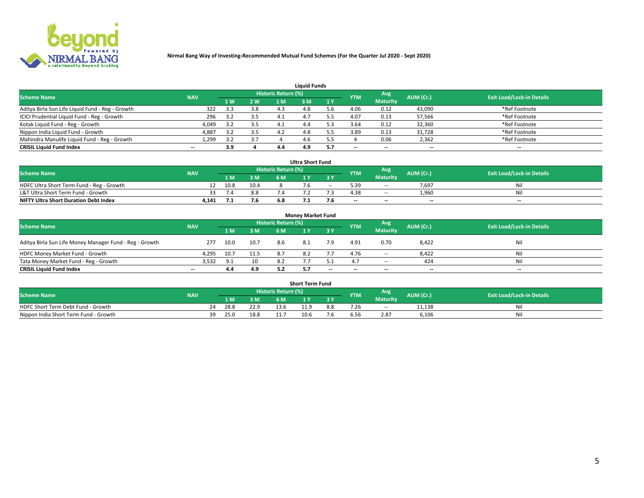

| <b>Liquid Funds</b>                              |            |     |     |                     |     |              |            |                 |           |                                  |  |  |  |  |
|--------------------------------------------------|------------|-----|-----|---------------------|-----|--------------|------------|-----------------|-----------|----------------------------------|--|--|--|--|
| <b>Scheme Name</b>                               | <b>NAV</b> |     |     | Historic Return (%) |     |              | <b>YTM</b> | Avg             | AUM (Cr.) | <b>Exit Load/Lock-in Details</b> |  |  |  |  |
|                                                  |            | 4W  | 2 W | 1 M                 | M   | $\sqrt{1}$ Y |            | <b>Maturity</b> |           |                                  |  |  |  |  |
| Aditya Birla Sun Life Liquid Fund - Reg - Growth | 322        | 3.3 | 3.8 | 4.3                 |     |              | 4.06       | 0.12            | 43,090    | *Ref Footnote                    |  |  |  |  |
| ICICI Prudential Liquid Fund - Reg - Growth      | 296        |     | 3.5 | 4.1                 | 4.  |              | 4.07       | 0.13            | 57,566    | *Ref Footnote                    |  |  |  |  |
| Kotak Liquid Fund - Reg - Growth                 | 4,049      |     | 3.5 |                     | 4.4 |              | 3.64       | 0.12            | 32,360    | *Ref Footnote                    |  |  |  |  |
| Nippon India Liquid Fund - Growth                | 4,887      |     | 3.5 | 4.2                 | 4.8 |              | 3.89       | 0.13            | 31,728    | *Ref Footnote                    |  |  |  |  |
| Mahindra Manulife Liquid Fund - Reg - Growth     | 1,299      | 3.2 | 3.7 |                     | 4.6 |              |            | 0.06            | 2,362     | *Ref Footnote                    |  |  |  |  |
| <b>CRISIL Liquid Fund Index</b>                  | $- -$      | 3.9 |     | 4.4                 | 4.9 |              | --         | $- -$           | --        | $\overline{\phantom{a}}$         |  |  |  |  |

| <b>Ultra Short Fund</b>                      |            |      |      |                            |  |        |                          |                 |           |                                  |  |  |  |  |
|----------------------------------------------|------------|------|------|----------------------------|--|--------|--------------------------|-----------------|-----------|----------------------------------|--|--|--|--|
| <b>Scheme Name</b>                           | <b>NAV</b> |      |      | <b>Historic Return (%)</b> |  |        | <b>YTM</b>               | Avg             | AUM (Cr.) | <b>Exit Load/Lock-in Details</b> |  |  |  |  |
|                                              |            | 1 M. | 3 M  | 6 M                        |  | 3 Y    |                          | <b>Maturity</b> |           |                                  |  |  |  |  |
| HDFC Ultra Short Term Fund - Reg - Growth    |            | 10.8 | 10.4 |                            |  | $\sim$ | 5.39                     | $\sim$ $-$      | 7,697     | Nil                              |  |  |  |  |
| L&T Ultra Short Term Fund - Growth           |            | 7.4  | 8.8  |                            |  |        | 4.38                     | $\sim$ $-$      | 1.960     | Nil                              |  |  |  |  |
| <b>NIFTY Ultra Short Duration Debt Index</b> | 4,141      |      | 7.6  | 6.8                        |  |        | $\overline{\phantom{a}}$ | $- -$           | --        | $-$                              |  |  |  |  |

| <b>Monev Market Fund</b>                                |            |      |      |                     |     |       |                          |                 |                          |                                  |  |  |  |  |
|---------------------------------------------------------|------------|------|------|---------------------|-----|-------|--------------------------|-----------------|--------------------------|----------------------------------|--|--|--|--|
| <b>Scheme Name</b>                                      | <b>NAV</b> |      |      | Historic Return (%) |     |       | <b>YTM</b>               | Avg             | AUM (Cr.)                | <b>Exit Load/Lock-in Details</b> |  |  |  |  |
|                                                         |            | 1 M  | 3 M  | 6 M                 |     | -3 Y  |                          | <b>Maturity</b> |                          |                                  |  |  |  |  |
| Aditya Birla Sun Life Money Manager Fund - Reg - Growth | 277        | 10.0 | 10.7 | 8.6                 | 8.1 | 7.9   | 4.91                     | 0.70            | 8,422                    | Nil                              |  |  |  |  |
| HDFC Money Market Fund - Growth                         | 4,295      | 10.7 | 11.5 | 8.7                 | 8.2 |       | 4.76                     | $\sim$ $\sim$   | 8,422                    | Nil                              |  |  |  |  |
| Tata Money Market Fund - Reg - Growth                   | 3,532      | 9.1  | 10   | 8.2                 |     |       |                          | $\sim$ $-$      | 424                      | Nil                              |  |  |  |  |
| <b>CRISIL Liquid Fund Index</b>                         | $- -$      | 4.4  | 4.9  | 5.2                 |     | $- -$ | $\overline{\phantom{a}}$ | $-$             | $\overline{\phantom{a}}$ | $\overline{\phantom{a}}$         |  |  |  |  |

|                                       |            |       |      |                     | <b>Short Term Fund</b> |     |      |                 |           |                                  |
|---------------------------------------|------------|-------|------|---------------------|------------------------|-----|------|-----------------|-----------|----------------------------------|
| <b>Scheme Name</b>                    | <b>NAV</b> |       |      | Historic Return (%) |                        |     | YTM  | Avg             | AUM (Cr.) | <b>Exit Load/Lock-in Details</b> |
|                                       |            | 1 M . | 3 M  | 6 M                 |                        | 2V  |      | <b>Maturity</b> |           |                                  |
| HDFC Short Term Debt Fund - Growth    |            | 28.8  | 22.9 | 13.6                | 11.9                   | 8.8 | 7.26 | $\sim$ $-$      | 11,138    | M                                |
| Nippon India Short Term Fund - Growth | 39         | 25.0  | 18.8 |                     | 10.6                   | '.n | 5.56 | 2.87            | 6,106     | N                                |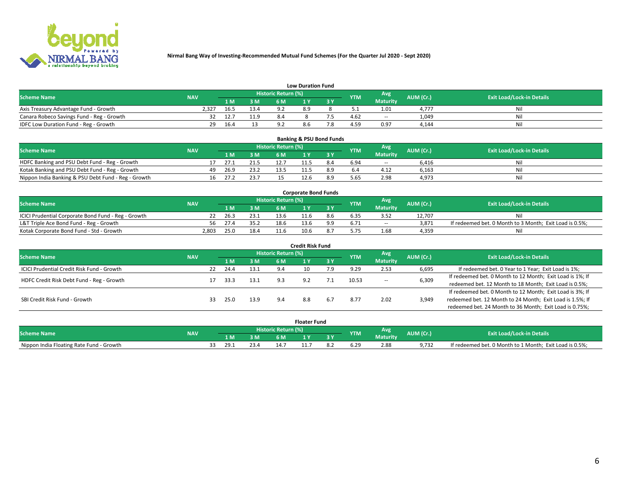

|                                           | <b>Low Duration Fund</b> |      |      |                     |     |     |            |                 |           |                                  |  |  |  |  |  |
|-------------------------------------------|--------------------------|------|------|---------------------|-----|-----|------------|-----------------|-----------|----------------------------------|--|--|--|--|--|
| <b>Scheme Name</b>                        | <b>NAV</b>               |      |      | Historic Return (%) |     |     | <b>YTM</b> | <b>Avg</b>      | AUM (Cr.) | <b>Exit Load/Lock-in Details</b> |  |  |  |  |  |
|                                           |                          | 1 M. | 3 M  | 6 M                 |     | 2 V |            | <b>Maturity</b> |           |                                  |  |  |  |  |  |
| Axis Treasury Advantage Fund - Growth     | 2.327                    | 16.5 | 13.4 |                     | 8.9 |     |            | 1.01            | 4.777     | Nil                              |  |  |  |  |  |
| Canara Robeco Savings Fund - Reg - Growth |                          | 12.7 | 11.9 | 8.4                 |     |     | 4.62       | $- -$           | 1,049     | Nil                              |  |  |  |  |  |
| IDFC Low Duration Fund - Reg - Growth     | 29                       | 16.4 |      |                     | 8.6 |     | 4.59       | 0.97            | 4,144     | Nil                              |  |  |  |  |  |

| <b>Banking &amp; PSU Bond Funds</b>                 |            |    |      |      |                     |  |     |            |                 |           |                                  |  |  |  |
|-----------------------------------------------------|------------|----|------|------|---------------------|--|-----|------------|-----------------|-----------|----------------------------------|--|--|--|
| <b>Scheme Name</b>                                  | <b>NAV</b> |    |      |      | Historic Return (%) |  |     | <b>YTM</b> | Avg             | AUM (Cr.) | <b>Exit Load/Lock-in Details</b> |  |  |  |
|                                                     |            |    | 1 M. | 3 M  | 6 M                 |  |     |            | <b>Maturity</b> |           |                                  |  |  |  |
| HDFC Banking and PSU Debt Fund - Reg - Growth       |            |    | 27.1 | 21.5 |                     |  | 8.4 | 6.94       | $\sim$ $-$      | 6.416     | Ni                               |  |  |  |
| Kotak Banking and PSU Debt Fund - Reg - Growth      |            | 49 | 26.9 | 23.2 |                     |  | 8.9 |            | 4.12            | 6,163     | Ni                               |  |  |  |
| Nippon India Banking & PSU Debt Fund - Reg - Growth |            | 16 | 27.7 | 23.7 |                     |  |     | 5.65       | 2.98            | 4,973     | Νi                               |  |  |  |

| <b>Corporate Bond Funds</b>                         |            |      |      |                            |      |  |            |            |           |                                                         |  |  |  |  |
|-----------------------------------------------------|------------|------|------|----------------------------|------|--|------------|------------|-----------|---------------------------------------------------------|--|--|--|--|
| <b>Scheme Name</b>                                  | <b>NAV</b> |      |      | <b>Historic Return (%)</b> |      |  | <b>YTM</b> | Avg        | AUM (Cr.) | <b>Exit Load/Lock-in Details</b>                        |  |  |  |  |
|                                                     |            |      | 3 M  | 6 M                        |      |  |            | Maturity   |           |                                                         |  |  |  |  |
| ICICI Prudential Corporate Bond Fund - Reg - Growth |            | 26.3 | 23.1 | 13.6                       |      |  |            |            | 12.707    | Nil                                                     |  |  |  |  |
| L&T Triple Ace Bond Fund - Reg - Growth             | 56         | 27.4 | 35.2 | 18.6                       | 13.6 |  | 6.71       | $\sim$ $-$ | 3,871     | If redeemed bet. 0 Month to 3 Month; Exit Load is 0.5%; |  |  |  |  |
| Kotak Corporate Bond Fund - Std - Growth            | 2,803      | 25.0 | 18.4 | 11.6                       | 10.6 |  |            | 1.68       | 4,359     | Nil                                                     |  |  |  |  |

| <b>Credit Risk Fund</b>                    |            |    |      |      |                     |     |     |            |                 |                                                           |                                                           |  |  |
|--------------------------------------------|------------|----|------|------|---------------------|-----|-----|------------|-----------------|-----------------------------------------------------------|-----------------------------------------------------------|--|--|
| <b>Scheme Name</b>                         | <b>NAV</b> |    |      |      | Historic Return (%) |     |     | <b>YTM</b> | Avg             | AUM (Cr.)                                                 | <b>Exit Load/Lock-in Details</b>                          |  |  |
|                                            |            |    | 1 M  | 3 M  | 6 M                 |     | 3 Y |            | <b>Maturity</b> |                                                           |                                                           |  |  |
| ICICI Prudential Credit Risk Fund - Growth |            | 22 | 24.4 | 13.1 | 9.4                 |     |     | 9.29       | 2.53            | 6,695                                                     | If redeemed bet. 0 Year to 1 Year; Exit Load is 1%;       |  |  |
| HDFC Credit Risk Debt Fund - Reg - Growth  |            |    | 33.3 | 13.1 | 9.3                 |     |     | 10.53      |                 | 6,309                                                     | If redeemed bet. 0 Month to 12 Month; Exit Load is 1%; If |  |  |
|                                            |            |    |      |      |                     |     |     |            | $\sim$ $-$      |                                                           | redeemed bet. 12 Month to 18 Month; Exit Load is 0.5%;    |  |  |
|                                            |            |    |      |      |                     |     |     |            |                 |                                                           | If redeemed bet. 0 Month to 12 Month; Exit Load is 3%; If |  |  |
| SBI Credit Risk Fund - Growth              |            | 33 | 25.0 | 13.9 | 9.4                 | 8.8 | 6.7 | 8.77       | 3,949<br>2.02   | redeemed bet. 12 Month to 24 Month; Exit Load is 1.5%; If |                                                           |  |  |
|                                            |            |    |      |      |                     |     |     |            |                 |                                                           | redeemed bet. 24 Month to 36 Month; Exit Load is 0.75%;   |  |  |

| <b>Floater Fund</b>                      |            |  |                     |      |     |      |     |            |                 |           |                                                         |
|------------------------------------------|------------|--|---------------------|------|-----|------|-----|------------|-----------------|-----------|---------------------------------------------------------|
| <b>Scheme Name</b>                       | <b>NAV</b> |  | Historic Return (%) |      |     |      |     |            | Avg             | AUM (Cr.) | <b>Exit Load/Lock-in Details</b>                        |
|                                          |            |  | 1 M                 | ЗM   | 6 M | - 17 | י כ | <b>YTM</b> | <b>Maturity</b> |           |                                                         |
| Nippon India Floating Rate Fund - Growth |            |  | 29.1                | 23.4 | 14. | .    |     |            | 2.88            | 9.732     | If redeemed bet. 0 Month to 1 Month; Exit Load is 0.5%; |